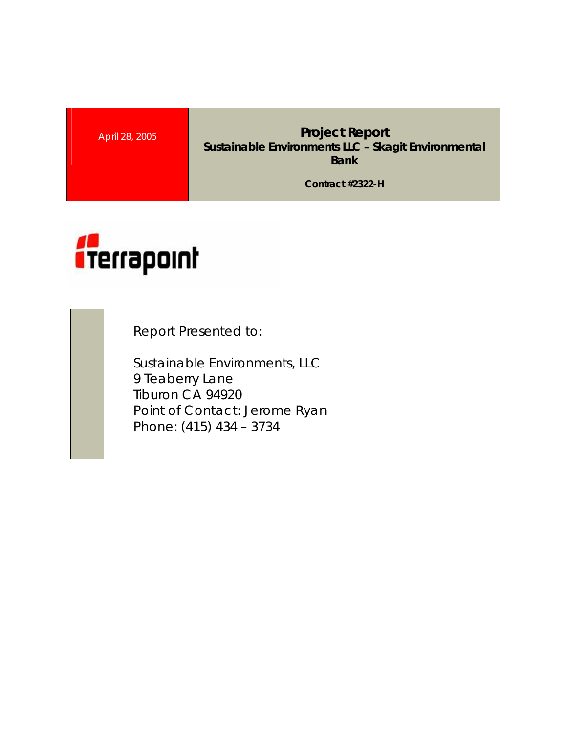**April 28, 2005 <b>Project Report Project Report Sustainable Environments LLC – Skagit Environmental Bank** 

**Contract #2322-H** 



Report Presented to:

Sustainable Environments, LLC 9 Teaberry Lane Tiburon CA 94920 Point of Contact: Jerome Ryan Phone: (415) 434 – 3734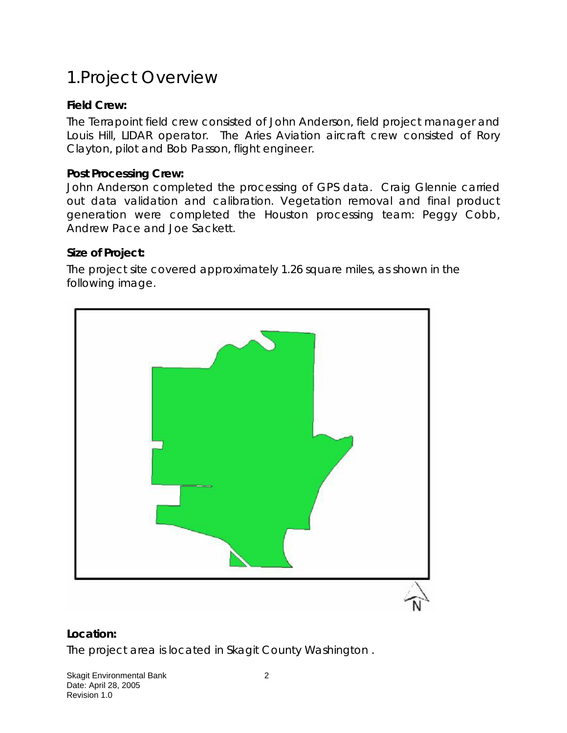# 1.Project Overview

### **Field Crew:**

The Terrapoint field crew consisted of John Anderson, field project manager and Louis Hill, LIDAR operator. The Aries Aviation aircraft crew consisted of Rory Clayton, pilot and Bob Passon, flight engineer.

#### **Post Processing Crew:**

John Anderson completed the processing of GPS data. Craig Glennie carried out data validation and calibration. Vegetation removal and final product generation were completed the Houston processing team: Peggy Cobb, Andrew Pace and Joe Sackett.

#### **Size of Project:**

The project site covered approximately 1.26 square miles, as shown in the following image.



#### **Location:**

The project area is located in Skagit County Washington .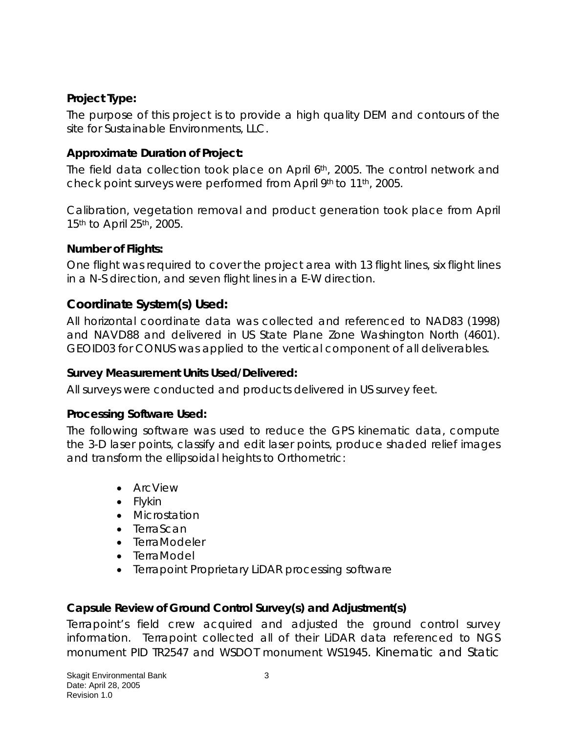## **Project Type:**

The purpose of this project is to provide a high quality DEM and contours of the site for Sustainable Environments, LLC.

## **Approximate Duration of Project:**

The field data collection took place on April 6th, 2005. The control network and check point surveys were performed from April 9th to 11th, 2005.

Calibration, vegetation removal and product generation took place from April 15<sup>th</sup> to April 25<sup>th</sup>, 2005.

## **Number of Flights:**

One flight was required to cover the project area with 13 flight lines, six flight lines in a N-S direction, and seven flight lines in a E-W direction.

## **Coordinate System(s) Used:**

All horizontal coordinate data was collected and referenced to NAD83 (1998) and NAVD88 and delivered in US State Plane Zone Washington North (4601). GEOID03 for CONUS was applied to the vertical component of all deliverables.

### **Survey Measurement Units Used/Delivered:**

All surveys were conducted and products delivered in US survey feet.

### **Processing Software Used:**

The following software was used to reduce the GPS kinematic data, compute the 3-D laser points, classify and edit laser points, produce shaded relief images and transform the ellipsoidal heights to Orthometric:

- ArcView
- Flykin
- Microstation
- TerraScan
- TerraModeler
- TerraModel
- Terrapoint Proprietary LiDAR processing software

## **Capsule Review of Ground Control Survey(s) and Adjustment(s)**

Terrapoint's field crew acquired and adjusted the ground control survey information. Terrapoint collected all of their LiDAR data referenced to NGS monument PID TR2547 and WSDOT monument WS1945. Kinematic and Static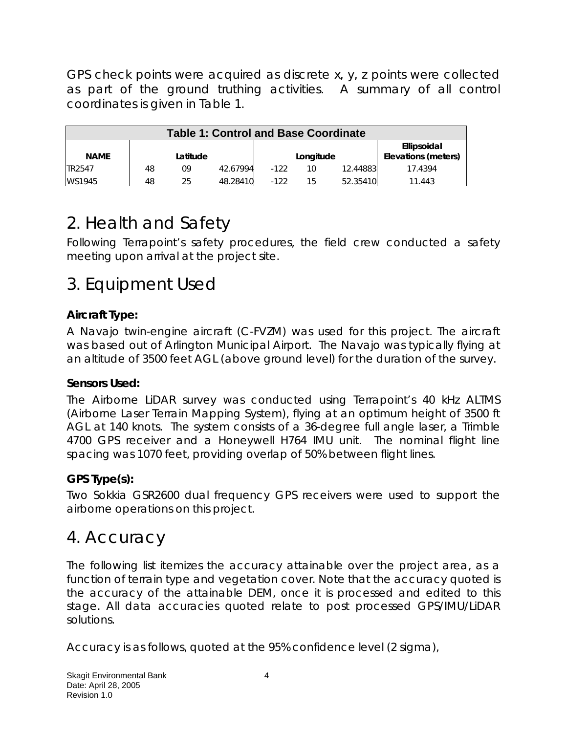GPS check points were acquired as discrete x, y, z points were collected as part of the ground truthing activities. A summary of all control coordinates is given in Table 1.

| <b>Table 1: Control and Base Coordinate</b> |    |          |          |        |           |          |                                    |
|---------------------------------------------|----|----------|----------|--------|-----------|----------|------------------------------------|
| <b>NAME</b>                                 |    | Latitude |          |        | Longitude |          | Ellipsoidal<br>Elevations (meters) |
| TR2547                                      | 48 | 09       | 42.67994 | $-122$ | 10        | 12.44883 | 17.4394                            |
| WS1945                                      | 48 | 25       | 48.28410 | $-122$ | 15        | 52.35410 | 11.443                             |

# 2. Health and Safety

Following Terrapoint's safety procedures, the field crew conducted a safety meeting upon arrival at the project site.

# 3. Equipment Used

## **Aircraft Type:**

A Navajo twin-engine aircraft (C-FVZM) was used for this project. The aircraft was based out of Arlington Municipal Airport. The Navajo was typically flying at an altitude of 3500 feet AGL (above ground level) for the duration of the survey.

### **Sensors Used:**

The Airborne LiDAR survey was conducted using Terrapoint's 40 kHz ALTMS (Airborne Laser Terrain Mapping System), flying at an optimum height of 3500 ft AGL at 140 knots. The system consists of a 36-degree full angle laser, a Trimble 4700 GPS receiver and a Honeywell H764 IMU unit. The nominal flight line spacing was 1070 feet, providing overlap of 50% between flight lines.

### **GPS Type(s):**

Two Sokkia GSR2600 dual frequency GPS receivers were used to support the airborne operations on this project.

# 4. Accuracy

The following list itemizes the accuracy attainable over the project area, as a function of terrain type and vegetation cover. Note that the accuracy quoted is the accuracy of the attainable DEM, once it is processed and edited to this stage. All data accuracies quoted relate to post processed GPS/IMU/LiDAR solutions.

Accuracy is as follows, quoted at the 95% confidence level (2 sigma),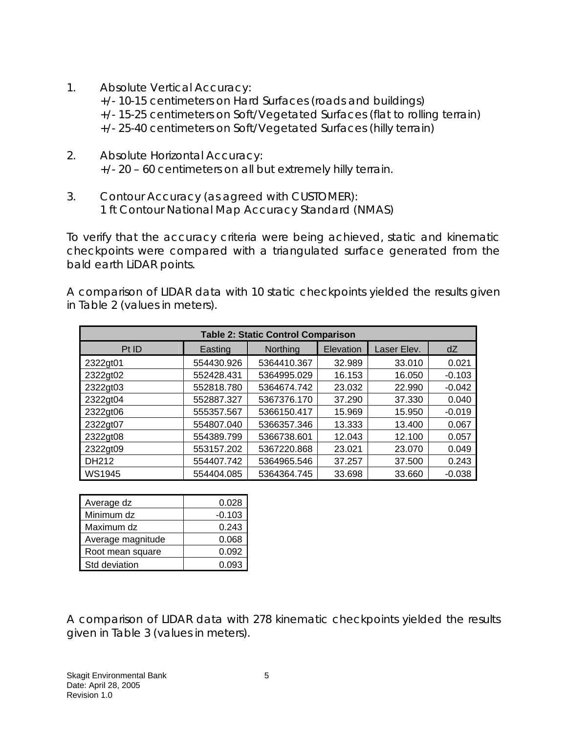- 1. Absolute Vertical Accuracy: +/- 10-15 centimeters on Hard Surfaces (roads and buildings) +/- 15-25 centimeters on Soft/Vegetated Surfaces (flat to rolling terrain) +/- 25-40 centimeters on Soft/Vegetated Surfaces (hilly terrain)
- 2. Absolute Horizontal Accuracy: +/- 20 – 60 centimeters on all but extremely hilly terrain.
- 3. Contour Accuracy (as agreed with CUSTOMER): 1 ft Contour National Map Accuracy Standard (NMAS)

To verify that the accuracy criteria were being achieved, static and kinematic checkpoints were compared with a triangulated surface generated from the bald earth LiDAR points.

A comparison of LIDAR data with 10 static checkpoints yielded the results given in Table 2 (values in meters).

| <b>Table 2: Static Control Comparison</b> |            |                 |           |             |          |  |  |
|-------------------------------------------|------------|-----------------|-----------|-------------|----------|--|--|
| Pt ID                                     | Easting    | <b>Northing</b> | Elevation | Laser Elev. | dZ       |  |  |
| 2322gt01                                  | 554430.926 | 5364410.367     | 32.989    | 33.010      | 0.021    |  |  |
| 2322gt02                                  | 552428.431 | 5364995.029     | 16.153    | 16.050      | $-0.103$ |  |  |
| 2322gt03                                  | 552818.780 | 5364674.742     | 23.032    | 22.990      | $-0.042$ |  |  |
| 2322gt04                                  | 552887.327 | 5367376.170     | 37.290    | 37.330      | 0.040    |  |  |
| 2322gt06                                  | 555357.567 | 5366150.417     | 15.969    | 15.950      | $-0.019$ |  |  |
| 2322gt07                                  | 554807.040 | 5366357.346     | 13.333    | 13.400      | 0.067    |  |  |
| 2322gt08                                  | 554389.799 | 5366738.601     | 12.043    | 12.100      | 0.057    |  |  |
| 2322gt09                                  | 553157.202 | 5367220.868     | 23.021    | 23.070      | 0.049    |  |  |
| DH212                                     | 554407.742 | 5364965.546     | 37.257    | 37.500      | 0.243    |  |  |
| <b>WS1945</b>                             | 554404.085 | 5364364.745     | 33.698    | 33.660      | $-0.038$ |  |  |

| Average dz        | 0.028    |  |  |
|-------------------|----------|--|--|
| Minimum dz        | $-0.103$ |  |  |
| Maximum dz        | 0.243    |  |  |
| Average magnitude | 0.068    |  |  |
| Root mean square  | 0.092    |  |  |
| Std deviation     | 0.093    |  |  |

A comparison of LIDAR data with 278 kinematic checkpoints yielded the results given in Table 3 (values in meters).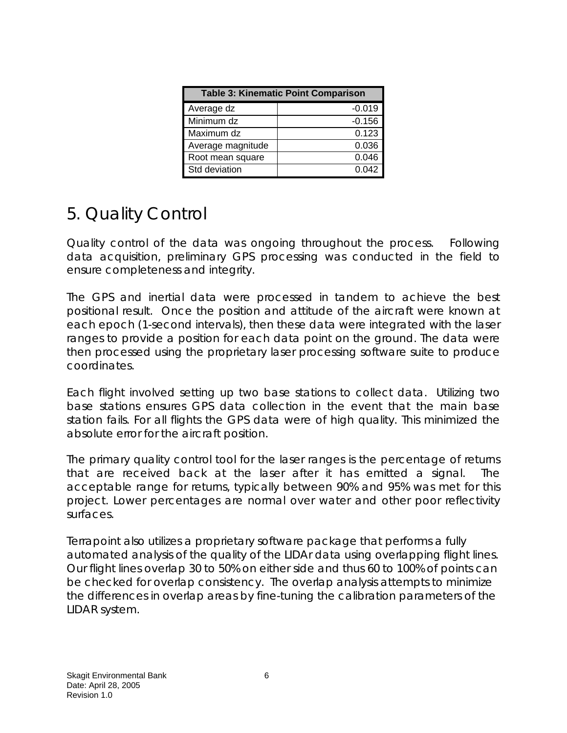| <b>Table 3: Kinematic Point Comparison</b> |          |  |  |  |
|--------------------------------------------|----------|--|--|--|
| Average dz                                 | $-0.019$ |  |  |  |
| Minimum dz                                 | $-0.156$ |  |  |  |
| Maximum dz                                 | 0.123    |  |  |  |
| Average magnitude                          | 0.036    |  |  |  |
| Root mean square                           | 0.046    |  |  |  |
| Std deviation                              | 0.042    |  |  |  |

# 5. Quality Control

Quality control of the data was ongoing throughout the process. Following data acquisition, preliminary GPS processing was conducted in the field to ensure completeness and integrity.

The GPS and inertial data were processed in tandem to achieve the best positional result. Once the position and attitude of the aircraft were known at each epoch (1-second intervals), then these data were integrated with the laser ranges to provide a position for each data point on the ground. The data were then processed using the proprietary laser processing software suite to produce coordinates.

Each flight involved setting up two base stations to collect data. Utilizing two base stations ensures GPS data collection in the event that the main base station fails. For all flights the GPS data were of high quality. This minimized the absolute error for the aircraft position.

The primary quality control tool for the laser ranges is the percentage of returns that are received back at the laser after it has emitted a signal. The acceptable range for returns, typically between 90% and 95% was met for this project. Lower percentages are normal over water and other poor reflectivity surfaces.

Terrapoint also utilizes a proprietary software package that performs a fully automated analysis of the quality of the LIDAr data using overlapping flight lines. Our flight lines overlap 30 to 50% on either side and thus 60 to 100% of points can be checked for overlap consistency. The overlap analysis attempts to minimize the differences in overlap areas by fine-tuning the calibration parameters of the LIDAR system.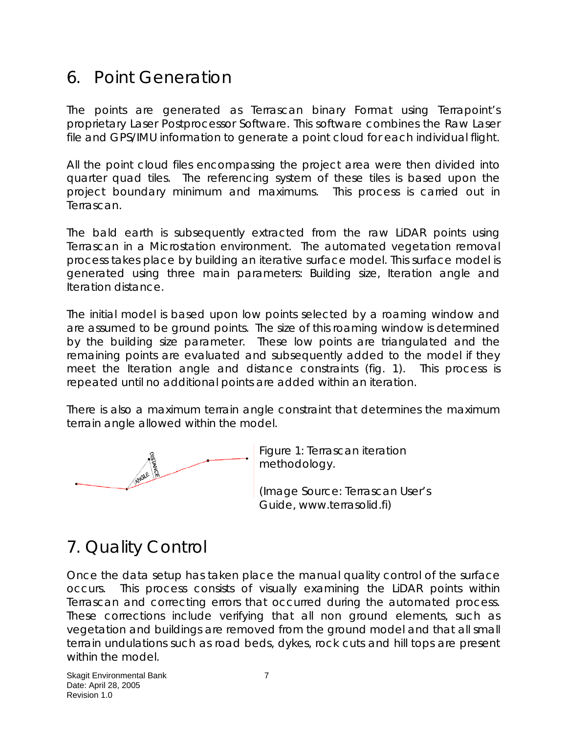# 6. Point Generation

The points are generated as Terrascan binary Format using Terrapoint's proprietary Laser Postprocessor Software. This software combines the Raw Laser file and GPS/IMU information to generate a point cloud for each individual flight.

All the point cloud files encompassing the project area were then divided into quarter quad tiles. The referencing system of these tiles is based upon the project boundary minimum and maximums. This process is carried out in Terrascan.

The bald earth is subsequently extracted from the raw LiDAR points using Terrascan in a Microstation environment. The automated vegetation removal process takes place by building an iterative surface model. This surface model is generated using three main parameters: Building size, Iteration angle and Iteration distance.

The initial model is based upon low points selected by a roaming window and are assumed to be ground points. The size of this roaming window is determined by the building size parameter. These low points are triangulated and the remaining points are evaluated and subsequently added to the model if they meet the Iteration angle and distance constraints (fig. 1). This process is repeated until no additional points are added within an iteration.

There is also a maximum terrain angle constraint that determines the maximum terrain angle allowed within the model.



Figure 1: Terrascan iteration methodology.

(Image Source: Terrascan User's Guide, www.terrasolid.fi)

# 7. Quality Control

Once the data setup has taken place the manual quality control of the surface occurs. This process consists of visually examining the LiDAR points within Terrascan and correcting errors that occurred during the automated process. These corrections include verifying that all non ground elements, such as vegetation and buildings are removed from the ground model and that all small terrain undulations such as road beds, dykes, rock cuts and hill tops are present within the model.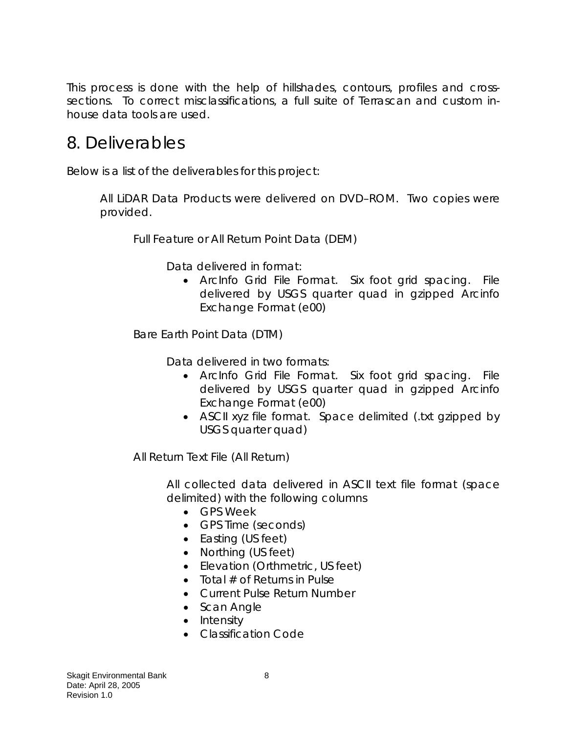This process is done with the help of hillshades, contours, profiles and crosssections. To correct misclassifications, a full suite of Terrascan and custom inhouse data tools are used.

# 8. Deliverables

Below is a list of the deliverables for this project:

All LiDAR Data Products were delivered on DVD–ROM. Two copies were provided.

Full Feature or All Return Point Data (DEM)

Data delivered in format:

• ArcInfo Grid File Format. Six foot grid spacing. File delivered by USGS quarter quad in gzipped Arcinfo Exchange Format (e00)

Bare Earth Point Data (DTM)

Data delivered in two formats:

- ArcInfo Grid File Format. Six foot grid spacing. File delivered by USGS quarter quad in gzipped Arcinfo Exchange Format (e00)
- ASCII xyz file format. Space delimited (.txt gzipped by USGS quarter quad)

All Return Text File (All Return)

All collected data delivered in ASCII text file format (space delimited) with the following columns

- GPS Week
- GPS Time (seconds)
- Easting (US feet)
- Northing (US feet)
- Elevation (Orthmetric, US feet)
- Total  $#$  of Returns in Pulse
- Current Pulse Return Number
- Scan Angle
- Intensity
- Classification Code